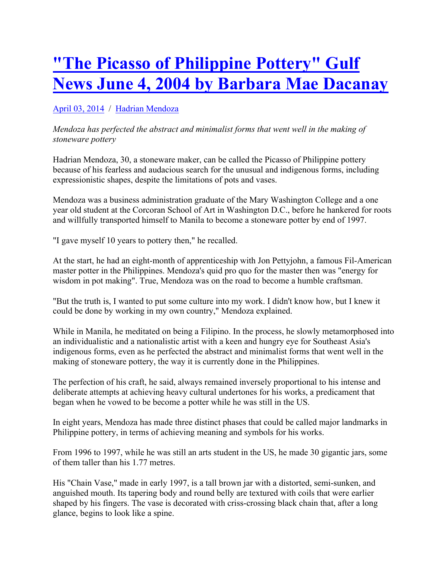# **"The Picasso of Philippine Pottery" Gulf News June 4, 2004 by Barbara Mae Dacanay**

## April 03, 2014 / Hadrian Mendoza

### *Mendoza has perfected the abstract and minimalist forms that went well in the making of stoneware pottery*

Hadrian Mendoza, 30, a stoneware maker, can be called the Picasso of Philippine pottery because of his fearless and audacious search for the unusual and indigenous forms, including expressionistic shapes, despite the limitations of pots and vases.

Mendoza was a business administration graduate of the Mary Washington College and a one year old student at the Corcoran School of Art in Washington D.C., before he hankered for roots and willfully transported himself to Manila to become a stoneware potter by end of 1997.

"I gave myself 10 years to pottery then," he recalled.

At the start, he had an eight-month of apprenticeship with Jon Pettyjohn, a famous Fil-American master potter in the Philippines. Mendoza's quid pro quo for the master then was "energy for wisdom in pot making". True, Mendoza was on the road to become a humble craftsman.

"But the truth is, I wanted to put some culture into my work. I didn't know how, but I knew it could be done by working in my own country," Mendoza explained.

While in Manila, he meditated on being a Filipino. In the process, he slowly metamorphosed into an individualistic and a nationalistic artist with a keen and hungry eye for Southeast Asia's indigenous forms, even as he perfected the abstract and minimalist forms that went well in the making of stoneware pottery, the way it is currently done in the Philippines.

The perfection of his craft, he said, always remained inversely proportional to his intense and deliberate attempts at achieving heavy cultural undertones for his works, a predicament that began when he vowed to be become a potter while he was still in the US.

In eight years, Mendoza has made three distinct phases that could be called major landmarks in Philippine pottery, in terms of achieving meaning and symbols for his works.

From 1996 to 1997, while he was still an arts student in the US, he made 30 gigantic jars, some of them taller than his 1.77 metres.

His "Chain Vase," made in early 1997, is a tall brown jar with a distorted, semi-sunken, and anguished mouth. Its tapering body and round belly are textured with coils that were earlier shaped by his fingers. The vase is decorated with criss-crossing black chain that, after a long glance, begins to look like a spine.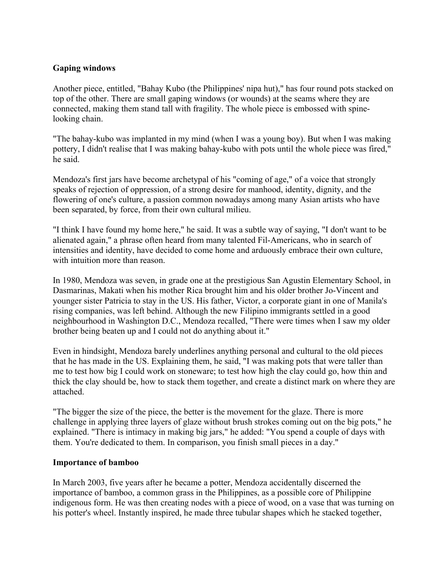#### **Gaping windows**

Another piece, entitled, "Bahay Kubo (the Philippines' nipa hut)," has four round pots stacked on top of the other. There are small gaping windows (or wounds) at the seams where they are connected, making them stand tall with fragility. The whole piece is embossed with spinelooking chain.

"The bahay-kubo was implanted in my mind (when I was a young boy). But when I was making pottery, I didn't realise that I was making bahay-kubo with pots until the whole piece was fired," he said.

Mendoza's first jars have become archetypal of his "coming of age," of a voice that strongly speaks of rejection of oppression, of a strong desire for manhood, identity, dignity, and the flowering of one's culture, a passion common nowadays among many Asian artists who have been separated, by force, from their own cultural milieu.

"I think I have found my home here," he said. It was a subtle way of saying, "I don't want to be alienated again," a phrase often heard from many talented Fil-Americans, who in search of intensities and identity, have decided to come home and arduously embrace their own culture, with intuition more than reason.

In 1980, Mendoza was seven, in grade one at the prestigious San Agustin Elementary School, in Dasmarinas, Makati when his mother Rica brought him and his older brother Jo-Vincent and younger sister Patricia to stay in the US. His father, Victor, a corporate giant in one of Manila's rising companies, was left behind. Although the new Filipino immigrants settled in a good neighbourhood in Washington D.C., Mendoza recalled, "There were times when I saw my older brother being beaten up and I could not do anything about it."

Even in hindsight, Mendoza barely underlines anything personal and cultural to the old pieces that he has made in the US. Explaining them, he said, "I was making pots that were taller than me to test how big I could work on stoneware; to test how high the clay could go, how thin and thick the clay should be, how to stack them together, and create a distinct mark on where they are attached.

"The bigger the size of the piece, the better is the movement for the glaze. There is more challenge in applying three layers of glaze without brush strokes coming out on the big pots," he explained. "There is intimacy in making big jars," he added: "You spend a couple of days with them. You're dedicated to them. In comparison, you finish small pieces in a day."

#### **Importance of bamboo**

In March 2003, five years after he became a potter, Mendoza accidentally discerned the importance of bamboo, a common grass in the Philippines, as a possible core of Philippine indigenous form. He was then creating nodes with a piece of wood, on a vase that was turning on his potter's wheel. Instantly inspired, he made three tubular shapes which he stacked together,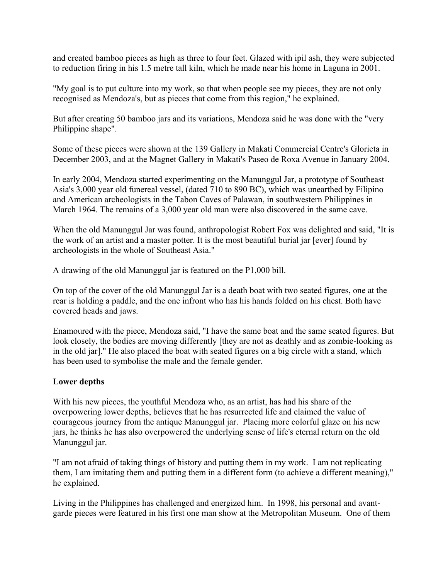and created bamboo pieces as high as three to four feet. Glazed with ipil ash, they were subjected to reduction firing in his 1.5 metre tall kiln, which he made near his home in Laguna in 2001.

"My goal is to put culture into my work, so that when people see my pieces, they are not only recognised as Mendoza's, but as pieces that come from this region," he explained.

But after creating 50 bamboo jars and its variations, Mendoza said he was done with the "very Philippine shape".

Some of these pieces were shown at the 139 Gallery in Makati Commercial Centre's Glorieta in December 2003, and at the Magnet Gallery in Makati's Paseo de Roxa Avenue in January 2004.

In early 2004, Mendoza started experimenting on the Manunggul Jar, a prototype of Southeast Asia's 3,000 year old funereal vessel, (dated 710 to 890 BC), which was unearthed by Filipino and American archeologists in the Tabon Caves of Palawan, in southwestern Philippines in March 1964. The remains of a 3,000 year old man were also discovered in the same cave.

When the old Manunggul Jar was found, anthropologist Robert Fox was delighted and said, "It is the work of an artist and a master potter. It is the most beautiful burial jar [ever] found by archeologists in the whole of Southeast Asia."

A drawing of the old Manunggul jar is featured on the P1,000 bill.

On top of the cover of the old Manunggul Jar is a death boat with two seated figures, one at the rear is holding a paddle, and the one infront who has his hands folded on his chest. Both have covered heads and jaws.

Enamoured with the piece, Mendoza said, "I have the same boat and the same seated figures. But look closely, the bodies are moving differently [they are not as deathly and as zombie-looking as in the old jar]." He also placed the boat with seated figures on a big circle with a stand, which has been used to symbolise the male and the female gender.

### **Lower depths**

With his new pieces, the youthful Mendoza who, as an artist, has had his share of the overpowering lower depths, believes that he has resurrected life and claimed the value of courageous journey from the antique Manunggul jar. Placing more colorful glaze on his new jars, he thinks he has also overpowered the underlying sense of life's eternal return on the old Manunggul jar.

"I am not afraid of taking things of history and putting them in my work. I am not replicating them, I am imitating them and putting them in a different form (to achieve a different meaning)," he explained.

Living in the Philippines has challenged and energized him. In 1998, his personal and avantgarde pieces were featured in his first one man show at the Metropolitan Museum. One of them